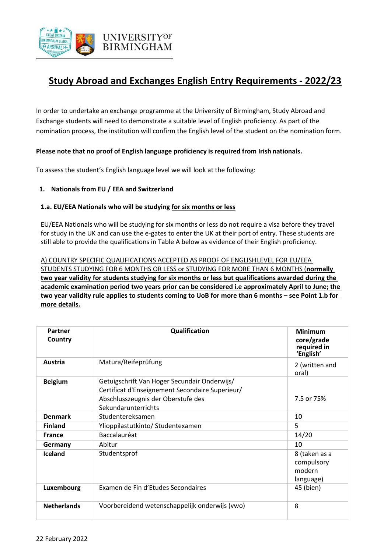

# **Study Abroad and Exchanges English Entry Requirements - 2022/23**

In order to undertake an exchange programme at the University of Birmingham, Study Abroad and Exchange students will need to demonstrate a suitable level of English proficiency. As part of the nomination process, the institution will confirm the English level of the student on the nomination form.

## **Please note that no proof of English language proficiency is required from Irish nationals.**

To assess the student's English language level we will look at the following:

## **1. Nationals from EU / EEA and Switzerland**

## **1.a. EU/EEA Nationals who will be studying for six months or less**

EU/EEA Nationals who will be studying for six months or less do not require a visa before they travel for study in the UK and can use the e-gates to enter the UK at their port of entry. These students are still able to provide the qualifications in Table A below as evidence of their English proficiency.

A) COUNTRY SPECIFIC QUALIFICATIONS ACCEPTED AS PROOF OF ENGLISHLEVEL FOR EU/EEA STUDENTS STUDYING FOR 6 MONTHS OR LESS or STUDYING FOR MORE THAN 6 MONTHS (**normally two year validity for students studying for six months or less but qualifications awarded during the academic examination period two years prior can be considered i.e approximately April to June; the two year validity rule applies to students coming to UoB for more than 6 months – see Point 1.b for more details.**

| Partner<br>Country | Qualification                                                                                                                                                | <b>Minimum</b><br>core/grade<br>required in<br>'English' |
|--------------------|--------------------------------------------------------------------------------------------------------------------------------------------------------------|----------------------------------------------------------|
| Austria            | Matura/Reifeprüfung                                                                                                                                          | 2 (written and<br>oral)                                  |
| <b>Belgium</b>     | Getuigschrift Van Hoger Secundair Onderwijs/<br>Certificat d'Enseignement Secondaire Superieur/<br>Abschlusszeugnis der Oberstufe des<br>Sekundarunterrichts | 7.5 or 75%                                               |
| <b>Denmark</b>     | Studentereksamen                                                                                                                                             | 10                                                       |
| <b>Finland</b>     | Ylioppilastutkinto/ Studentexamen                                                                                                                            | 5                                                        |
| <b>France</b>      | Baccalauréat                                                                                                                                                 | 14/20                                                    |
| Germany            | Abitur                                                                                                                                                       | 10                                                       |
| <b>Iceland</b>     | Studentsprof                                                                                                                                                 | 8 (taken as a<br>compulsory<br>modern<br>language)       |
| Luxembourg         | Examen de Fin d'Etudes Secondaires                                                                                                                           | 45 (bien)                                                |
| <b>Netherlands</b> | Voorbereidend wetenschappelijk onderwijs (vwo)                                                                                                               | 8                                                        |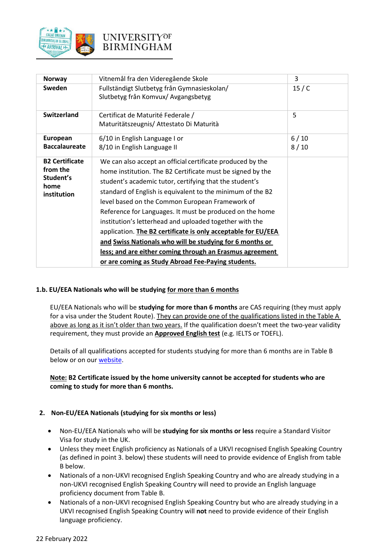

| <b>Norway</b>                                                         | Vitnemål fra den Videregående Skole                                                                                                                                                                                                                                                                                                                                                                                                                                                                                                                                                                                                                                        | 3            |
|-----------------------------------------------------------------------|----------------------------------------------------------------------------------------------------------------------------------------------------------------------------------------------------------------------------------------------------------------------------------------------------------------------------------------------------------------------------------------------------------------------------------------------------------------------------------------------------------------------------------------------------------------------------------------------------------------------------------------------------------------------------|--------------|
| Sweden                                                                | Fullständigt Slutbetyg från Gymnasieskolan/<br>Slutbetyg från Komvux/ Avgangsbetyg                                                                                                                                                                                                                                                                                                                                                                                                                                                                                                                                                                                         | 15/ C        |
| <b>Switzerland</b>                                                    | Certificat de Maturité Federale /<br>Maturitätszeugnis/ Attestato Di Maturità                                                                                                                                                                                                                                                                                                                                                                                                                                                                                                                                                                                              | 5            |
| European<br><b>Baccalaureate</b>                                      | 6/10 in English Language I or<br>8/10 in English Language II                                                                                                                                                                                                                                                                                                                                                                                                                                                                                                                                                                                                               | 6/10<br>8/10 |
| <b>B2 Certificate</b><br>from the<br>Student's<br>home<br>institution | We can also accept an official certificate produced by the<br>home institution. The B2 Certificate must be signed by the<br>student's academic tutor, certifying that the student's<br>standard of English is equivalent to the minimum of the B2<br>level based on the Common European Framework of<br>Reference for Languages. It must be produced on the home<br>institution's letterhead and uploaded together with the<br>application. The B2 certificate is only acceptable for EU/EEA<br>and Swiss Nationals who will be studying for 6 months or<br>less; and are either coming through an Erasmus agreement<br>or are coming as Study Abroad Fee-Paying students. |              |

# **1.b. EU/EEA Nationals who will be studying for more than 6 months**

EU/EEA Nationals who will be **studying for more than 6 months** are CAS requiring (they must apply for a visa under the Student Route). They can provide one of the qualifications listed in the Table A above as long as it isn't older than two years. If the qualification doesn't meet the two-year validity requirement, they must provide an **Approved English test** (e.g. IELTS or TOEFL).

Details of all qualifications accepted for students studying for more than 6 months are in Table B below or on our [website.](https://www.birmingham.ac.uk/undergraduate/requirements/international/index.aspx)

# **Note: B2 Certificate issued by the home university cannot be accepted for students who are coming to study for more than 6 months.**

#### **2. Non-EU/EEA Nationals (studying for six months or less)**

- Non-EU/EEA Nationals who will be **studying for six months or less** require a Standard Visitor Visa for study in the UK.
- Unless they meet English proficiency as Nationals of a UKVI recognised English Speaking Country (as defined in point 3. below) these students will need to provide evidence of English from table B below.
- Nationals of a non-UKVI recognised English Speaking Country and who are already studying in a non-UKVI recognised English Speaking Country will need to provide an English language proficiency document from Table B.
- Nationals of a non-UKVI recognised English Speaking Country but who are already studying in a UKVI recognised English Speaking Country will **not** need to provide evidence of their English language proficiency.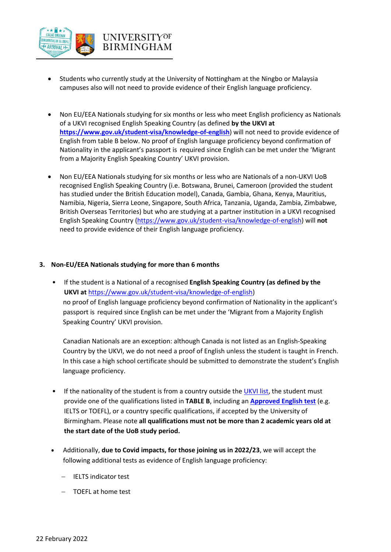

- Students who currently study at the University of Nottingham at the Ningbo or Malaysia campuses also will not need to provide evidence of their English language proficiency.
- Non EU/EEA Nationals studying for six months or less who meet English proficiency as Nationals of a UKVI recognised English Speaking Country (as defined **by the UKVI at <https://www.gov.uk/student-visa/knowledge-of-english>**) will not need to provide evidence of English from table B below. No proof of English language proficiency beyond confirmation of Nationality in the applicant's passport is required since English can be met under the 'Migrant from a Majority English Speaking Country' UKVI provision.
- Non EU/EEA Nationals studying for six months or less who are Nationals of a non-UKVI UoB recognised English Speaking Country (i.e. Botswana, Brunei, Cameroon (provided the student has studied under the British Education model), Canada, Gambia, Ghana, Kenya, Mauritius, Namibia, Nigeria, Sierra Leone, Singapore, South Africa, Tanzania, Uganda, Zambia, Zimbabwe, British Overseas Territories) but who are studying at a partner institution in a UKVI recognised English Speaking Country [\(https://www.gov.uk/student-visa/knowledge-of-english\)](https://www.gov.uk/student-visa/knowledge-of-english) will **not** need to provide evidence of their English language proficiency.

#### **3. Non-EU/EEA Nationals studying for more than 6 months**

• If the student is a National of a recognised **English Speaking Country (as defined by the UKVI at** [https://www.gov.uk/student-visa/knowledge-of-english\)](https://www.gov.uk/student-visa/knowledge-of-english) no proof of English language proficiency beyond confirmation of Nationality in the applicant's passport is required since English can be met under the 'Migrant from a Majority English Speaking Country' UKVI provision.

Canadian Nationals are an exception: although Canada is not listed as an English-Speaking Country by the UKVI, we do not need a proof of English unless the student is taught in French. In this case a high school certificate should be submitted to demonstrate the student's English language proficiency.

- If the nationality of the student is from a country outside th[e UKVI list,](https://www.gov.uk/student-visa/knowledge-of-english) the student must provide one of the qualifications listed in **TABLE B**, including an **[Approved English test](https://www.birmingham.ac.uk/undergraduate/requirements/international/index.aspx)** (e.g. IELTS or TOEFL), or a country specific qualifications, if accepted by the University of Birmingham. Please note **all qualifications must not be more than 2 academic years old at the start date of the UoB study period.**
- Additionally, **due to Covid impacts, for those joining us in 2022/23**, we will accept the following additional tests as evidence of English language proficiency:
	- − IELTS indicator test
	- − TOEFL at home test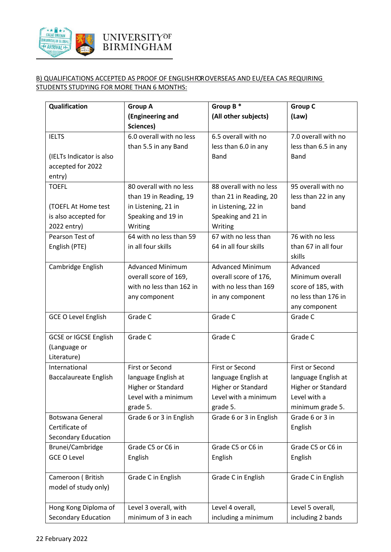

# B) QUALIFICATIONS ACCEPTED AS PROOF OF ENGLISHFOROVERSEAS AND EU/EEA CAS REQUIRING STUDENTS STUDYING FOR MORE THAN 6 MONTHS:

| Qualification                | <b>Group A</b>           | Group B*                | <b>Group C</b>       |
|------------------------------|--------------------------|-------------------------|----------------------|
|                              | (Engineering and         | (All other subjects)    | (Law)                |
|                              | Sciences)                |                         |                      |
| <b>IELTS</b>                 | 6.0 overall with no less | 6.5 overall with no     | 7.0 overall with no  |
|                              | than 5.5 in any Band     | less than 6.0 in any    | less than 6.5 in any |
| (IELTs Indicator is also     |                          | <b>Band</b>             | Band                 |
| accepted for 2022            |                          |                         |                      |
| entry)                       |                          |                         |                      |
| <b>TOEFL</b>                 | 80 overall with no less  | 88 overall with no less | 95 overall with no   |
|                              | than 19 in Reading, 19   | than 21 in Reading, 20  | less than 22 in any  |
| (TOEFL At Home test          | in Listening, 21 in      | in Listening, 22 in     | band                 |
| is also accepted for         | Speaking and 19 in       | Speaking and 21 in      |                      |
| 2022 entry)                  | Writing                  | Writing                 |                      |
| Pearson Test of              | 64 with no less than 59  | 67 with no less than    | 76 with no less      |
| English (PTE)                | in all four skills       | 64 in all four skills   | than 67 in all four  |
|                              |                          |                         | skills               |
| Cambridge English            | <b>Advanced Minimum</b>  | <b>Advanced Minimum</b> | Advanced             |
|                              | overall score of 169,    | overall score of 176,   | Minimum overall      |
|                              | with no less than 162 in | with no less than 169   | score of 185, with   |
|                              | any component            | in any component        | no less than 176 in  |
|                              |                          |                         | any component        |
| <b>GCE O Level English</b>   | Grade C                  | Grade C                 | Grade C              |
|                              |                          |                         |                      |
| <b>GCSE or IGCSE English</b> | Grade C                  | Grade C                 | Grade C              |
| (Language or                 |                          |                         |                      |
| Literature)                  |                          |                         |                      |
| International                | <b>First or Second</b>   | <b>First or Second</b>  | First or Second      |
| <b>Baccalaureate English</b> | language English at      | language English at     | language English at  |
|                              | Higher or Standard       | Higher or Standard      | Higher or Standard   |
|                              | Level with a minimum     | Level with a minimum    | Level with a         |
|                              | grade 5.                 | grade 5.                | minimum grade 5.     |
| Botswana General             | Grade 6 or 3 in English  | Grade 6 or 3 in English | Grade 6 or 3 in      |
| Certificate of               |                          |                         | English              |
| <b>Secondary Education</b>   |                          |                         |                      |
| Brunei/Cambridge             | Grade C5 or C6 in        | Grade C5 or C6 in       | Grade C5 or C6 in    |
| <b>GCE O Level</b>           | English                  | English                 | English              |
|                              |                          |                         |                      |
| Cameroon (British            | Grade C in English       | Grade C in English      | Grade C in English   |
| model of study only)         |                          |                         |                      |
|                              |                          |                         |                      |
| Hong Kong Diploma of         | Level 3 overall, with    | Level 4 overall,        | Level 5 overall,     |
| <b>Secondary Education</b>   | minimum of 3 in each     | including a minimum     | including 2 bands    |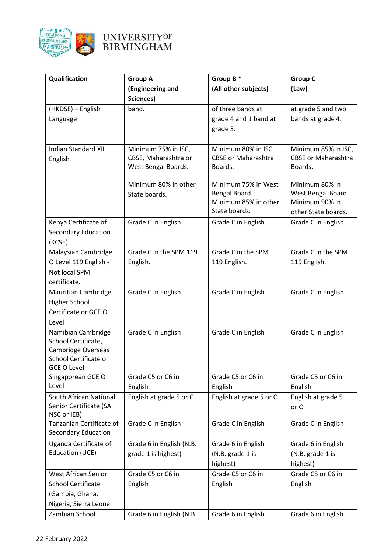

| Qualification                                          | <b>Group A</b>           | Group B*                      | <b>Group C</b>                |
|--------------------------------------------------------|--------------------------|-------------------------------|-------------------------------|
|                                                        | (Engineering and         | (All other subjects)          | (Law)                         |
|                                                        | Sciences)                |                               |                               |
| (HKDSE) - English                                      | band.                    | of three bands at             | at grade 5 and two            |
| Language                                               |                          | grade 4 and 1 band at         | bands at grade 4.             |
|                                                        |                          | grade 3.                      |                               |
|                                                        |                          |                               |                               |
| <b>Indian Standard XII</b>                             | Minimum 75% in ISC,      | Minimum 80% in ISC,           | Minimum 85% in ISC,           |
| English                                                | CBSE, Maharashtra or     | <b>CBSE or Maharashtra</b>    | <b>CBSE or Maharashtra</b>    |
|                                                        | West Bengal Boards.      | Boards.                       | Boards.                       |
|                                                        | Minimum 80% in other     | Minimum 75% in West           | Minimum 80% in                |
|                                                        | State boards.            | Bengal Board.                 | West Bengal Board.            |
|                                                        |                          | Minimum 85% in other          | Minimum 90% in                |
|                                                        |                          | State boards.                 | other State boards.           |
| Kenya Certificate of                                   | Grade C in English       | Grade C in English            | Grade C in English            |
| <b>Secondary Education</b>                             |                          |                               |                               |
| (KCSE)                                                 |                          |                               |                               |
| Malaysian Cambridge                                    | Grade C in the SPM 119   | Grade C in the SPM            | Grade C in the SPM            |
| O Level 119 English -                                  | English.                 | 119 English.                  | 119 English.                  |
| Not local SPM                                          |                          |                               |                               |
| certificate.                                           |                          |                               |                               |
| <b>Mauritian Cambridge</b>                             | Grade C in English       | Grade C in English            | Grade C in English            |
| <b>Higher School</b>                                   |                          |                               |                               |
| Certificate or GCE O                                   |                          |                               |                               |
| Level                                                  |                          |                               |                               |
| Namibian Cambridge                                     | Grade C in English       | Grade C in English            | Grade C in English            |
| School Certificate,                                    |                          |                               |                               |
| Cambridge Overseas<br>School Certificate or            |                          |                               |                               |
| <b>GCE O Level</b>                                     |                          |                               |                               |
| Singaporean GCE O                                      | Grade C5 or C6 in        | Grade C5 or C6 in             | Grade C5 or C6 in             |
| Level                                                  | English                  | English                       | English                       |
| South African National                                 | English at grade 5 or C  | English at grade 5 or C       | English at grade 5            |
| Senior Certificate (SA                                 |                          |                               | or C                          |
| NSC or IEB)                                            |                          |                               |                               |
| Tanzanian Certificate of<br><b>Secondary Education</b> | Grade C in English       | Grade C in English            | Grade C in English            |
|                                                        |                          |                               |                               |
| Uganda Certificate of<br>Education (UCE)               | Grade 6 in English (N.B. | Grade 6 in English            | Grade 6 in English            |
|                                                        | grade 1 is highest)      | (N.B. grade 1 is              | (N.B. grade 1 is              |
| <b>West African Senior</b>                             | Grade C5 or C6 in        | highest)<br>Grade C5 or C6 in | highest)<br>Grade C5 or C6 in |
| <b>School Certificate</b>                              |                          |                               |                               |
| (Gambia, Ghana,                                        | English                  | English                       | English                       |
| Nigeria, Sierra Leone                                  |                          |                               |                               |
| Zambian School                                         |                          |                               |                               |
|                                                        | Grade 6 in English (N.B. | Grade 6 in English            | Grade 6 in English            |